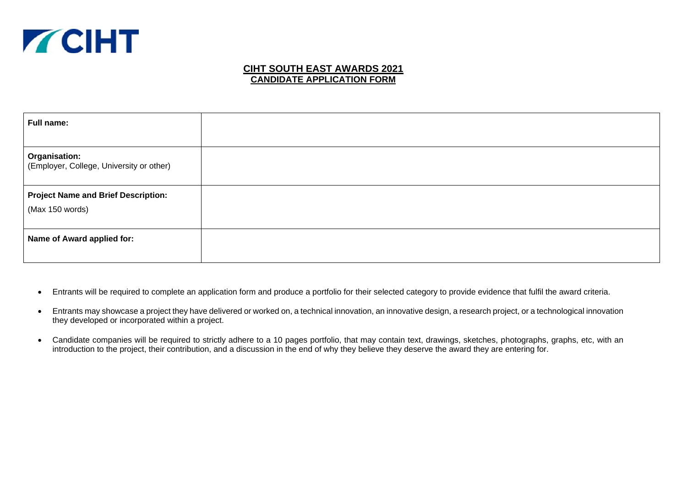

### **CIHT SOUTH EAST AWARDS 2021 CANDIDATE APPLICATION FORM**

| Full name:                                                       |  |
|------------------------------------------------------------------|--|
| <b>Organisation:</b><br>(Employer, College, University or other) |  |
| <b>Project Name and Brief Description:</b><br>(Max 150 words)    |  |
| Name of Award applied for:                                       |  |

- Entrants will be required to complete an application form and produce a portfolio for their selected category to provide evidence that fulfil the award criteria.
- Entrants may showcase a project they have delivered or worked on, a technical innovation, an innovative design, a research project, or a technological innovation they developed or incorporated within a project.
- Candidate companies will be required to strictly adhere to a 10 pages portfolio, that may contain text, drawings, sketches, photographs, graphs, etc, with an introduction to the project, their contribution, and a discussion in the end of why they believe they deserve the award they are entering for.